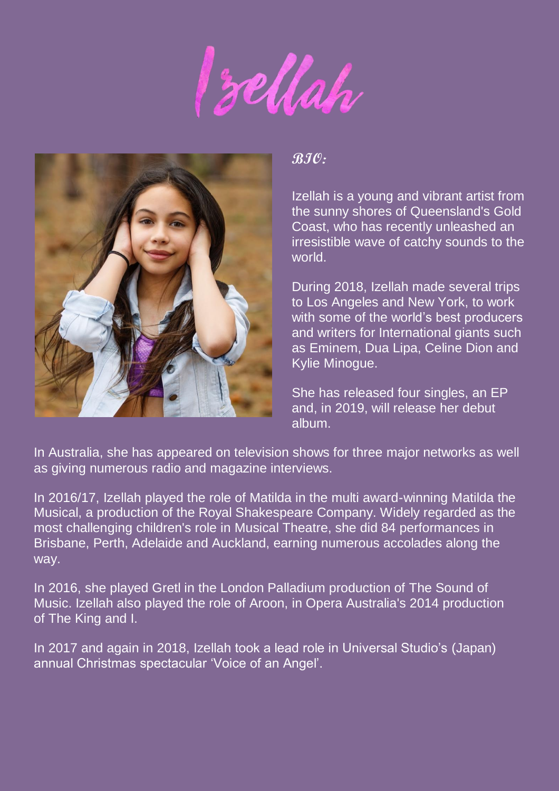Sellah



**BIO:**

Izellah is a young and vibrant artist from the sunny shores of Queensland's Gold Coast, who has recently unleashed an irresistible wave of catchy sounds to the world.

During 2018, Izellah made several trips to Los Angeles and New York, to work with some of the world's best producers and writers for International giants such as Eminem, Dua Lipa, Celine Dion and Kylie Minogue.

She has released four singles, an EP and, in 2019, will release her debut album.

In Australia, she has appeared on television shows for three major networks as well as giving numerous radio and magazine interviews.

In 2016/17, Izellah played the role of Matilda in the multi award-winning Matilda the Musical, a production of the Royal Shakespeare Company. Widely regarded as the most challenging children's role in Musical Theatre, she did 84 performances in Brisbane, Perth, Adelaide and Auckland, earning numerous accolades along the way.

In 2016, she played Gretl in the London Palladium production of The Sound of Music. Izellah also played the role of Aroon, in Opera Australia's 2014 production of The King and I.

In 2017 and again in 2018, Izellah took a lead role in Universal Studio's (Japan) annual Christmas spectacular 'Voice of an Angel'.